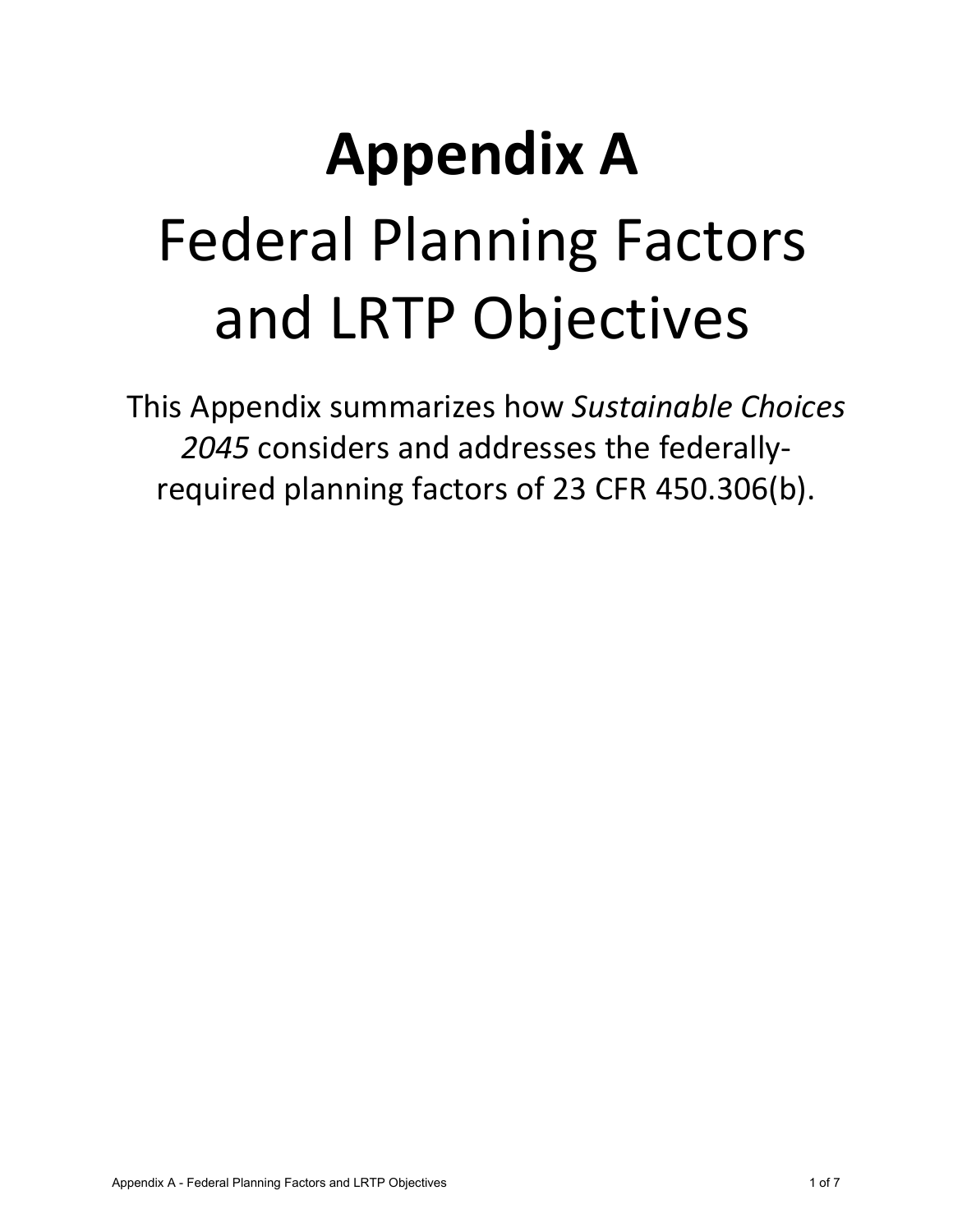# **Appendix A** Federal Planning Factors and LRTP Objectives

This Appendix summarizes how *Sustainable Choices 2045* considers and addresses the federallyrequired planning factors of 23 CFR 450.306(b).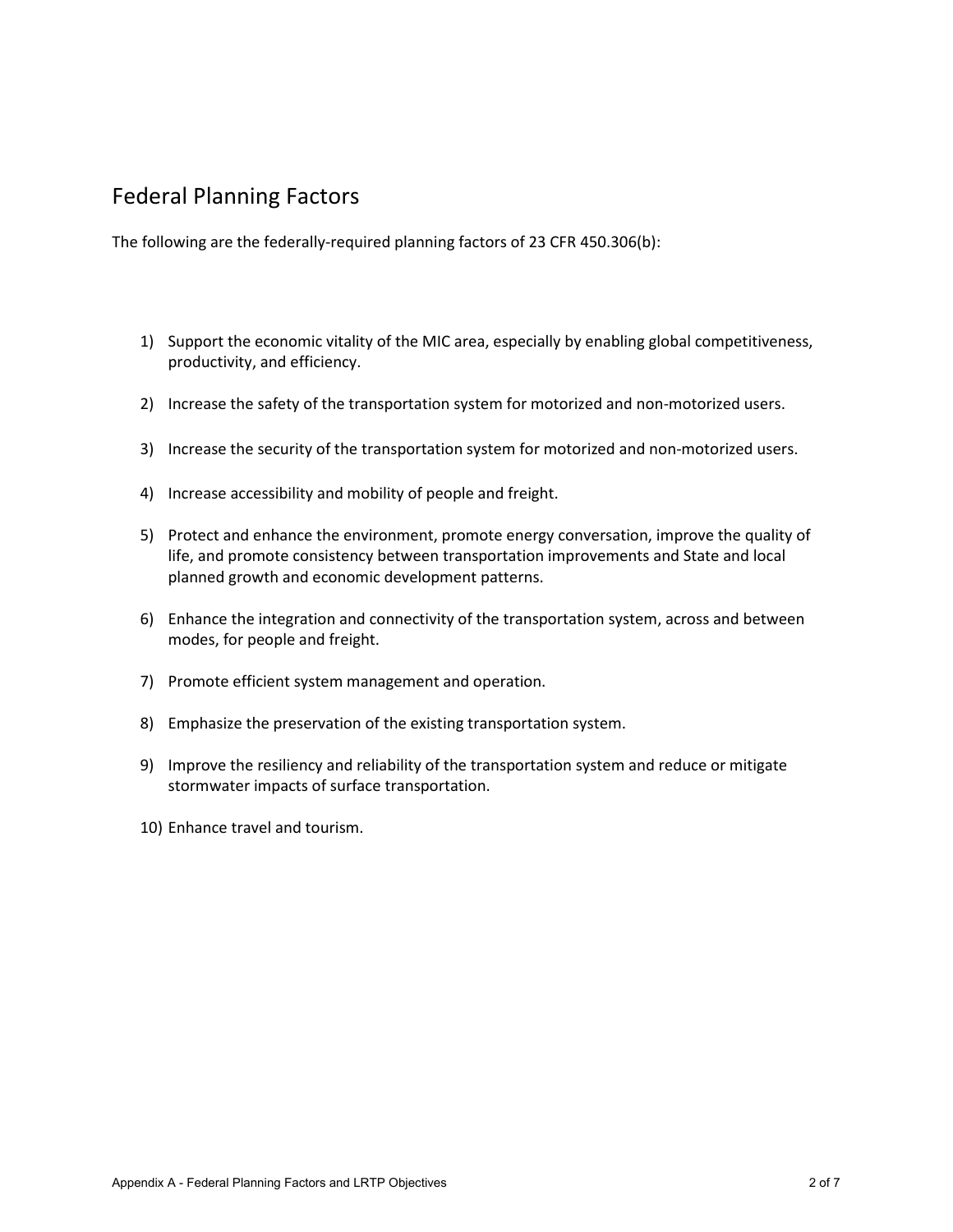## Federal Planning Factors

The following are the federally-required planning factors of 23 CFR 450.306(b):

- 1) Support the economic vitality of the MIC area, especially by enabling global competitiveness, productivity, and efficiency.
- 2) Increase the safety of the transportation system for motorized and non-motorized users.
- 3) Increase the security of the transportation system for motorized and non-motorized users.
- 4) Increase accessibility and mobility of people and freight.
- 5) Protect and enhance the environment, promote energy conversation, improve the quality of life, and promote consistency between transportation improvements and State and local planned growth and economic development patterns.
- 6) Enhance the integration and connectivity of the transportation system, across and between modes, for people and freight.
- 7) Promote efficient system management and operation.
- 8) Emphasize the preservation of the existing transportation system.
- 9) Improve the resiliency and reliability of the transportation system and reduce or mitigate stormwater impacts of surface transportation.
- 10) Enhance travel and tourism.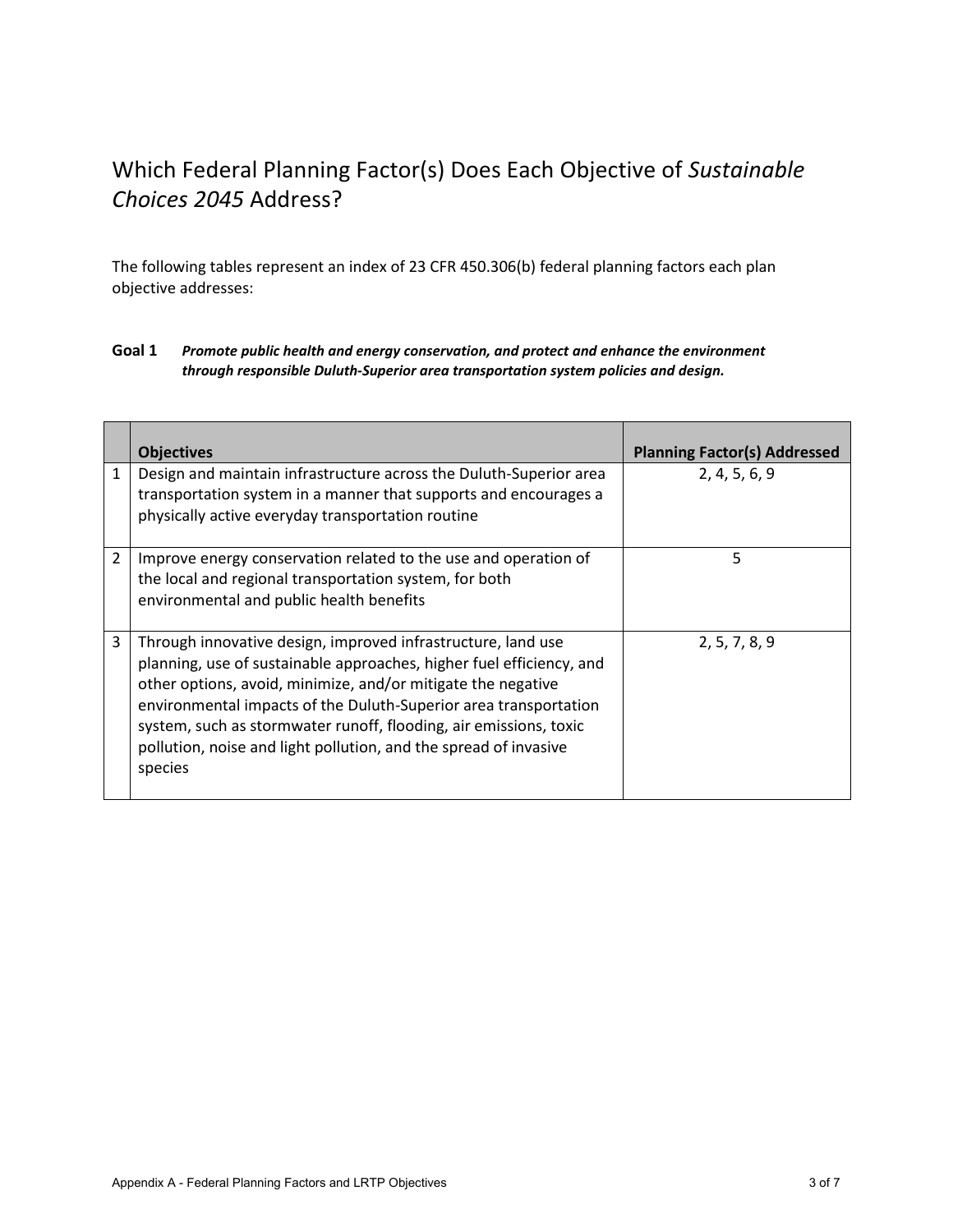## Which Federal Planning Factor(s) Does Each Objective of *Sustainable Choices 2045* Address?

The following tables represent an index of 23 CFR 450.306(b) federal planning factors each plan objective addresses:

| Goal 1 | Promote public health and energy conservation, and protect and enhance the environment |
|--------|----------------------------------------------------------------------------------------|
|        | through responsible Duluth-Superior area transportation system policies and design.    |

|                | <b>Objectives</b>                                                                                                                                                                                                                                                                                                                                                                                                            | <b>Planning Factor(s) Addressed</b> |
|----------------|------------------------------------------------------------------------------------------------------------------------------------------------------------------------------------------------------------------------------------------------------------------------------------------------------------------------------------------------------------------------------------------------------------------------------|-------------------------------------|
| $\mathbf{1}$   | Design and maintain infrastructure across the Duluth-Superior area<br>transportation system in a manner that supports and encourages a<br>physically active everyday transportation routine                                                                                                                                                                                                                                  | 2, 4, 5, 6, 9                       |
| $\overline{2}$ | Improve energy conservation related to the use and operation of<br>the local and regional transportation system, for both<br>environmental and public health benefits                                                                                                                                                                                                                                                        | 5                                   |
| 3              | Through innovative design, improved infrastructure, land use<br>planning, use of sustainable approaches, higher fuel efficiency, and<br>other options, avoid, minimize, and/or mitigate the negative<br>environmental impacts of the Duluth-Superior area transportation<br>system, such as stormwater runoff, flooding, air emissions, toxic<br>pollution, noise and light pollution, and the spread of invasive<br>species | 2, 5, 7, 8, 9                       |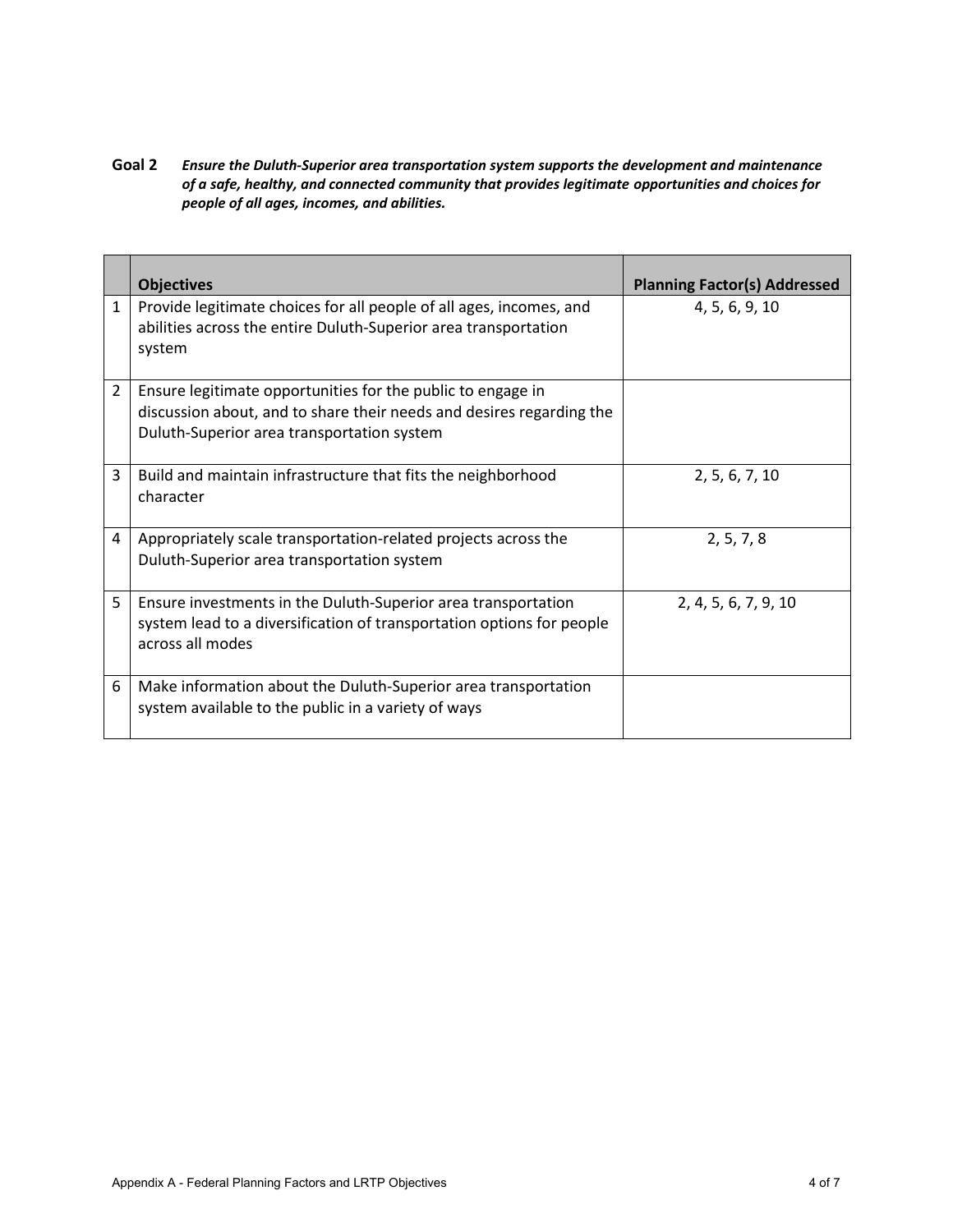**Goal 2** *Ensure the Duluth-Superior area transportation system supports the development and maintenance of a safe, healthy, and connected community that provides legitimate opportunities and choices for people of all ages, incomes, and abilities.*

|                | <b>Objectives</b>                                                                                                                                                                 | <b>Planning Factor(s) Addressed</b> |
|----------------|-----------------------------------------------------------------------------------------------------------------------------------------------------------------------------------|-------------------------------------|
| $\mathbf{1}$   | Provide legitimate choices for all people of all ages, incomes, and<br>abilities across the entire Duluth-Superior area transportation<br>system                                  | 4, 5, 6, 9, 10                      |
| $\overline{2}$ | Ensure legitimate opportunities for the public to engage in<br>discussion about, and to share their needs and desires regarding the<br>Duluth-Superior area transportation system |                                     |
| 3              | Build and maintain infrastructure that fits the neighborhood<br>character                                                                                                         | 2, 5, 6, 7, 10                      |
| 4              | Appropriately scale transportation-related projects across the<br>Duluth-Superior area transportation system                                                                      | 2, 5, 7, 8                          |
| 5              | Ensure investments in the Duluth-Superior area transportation<br>system lead to a diversification of transportation options for people<br>across all modes                        | 2, 4, 5, 6, 7, 9, 10                |
| 6              | Make information about the Duluth-Superior area transportation<br>system available to the public in a variety of ways                                                             |                                     |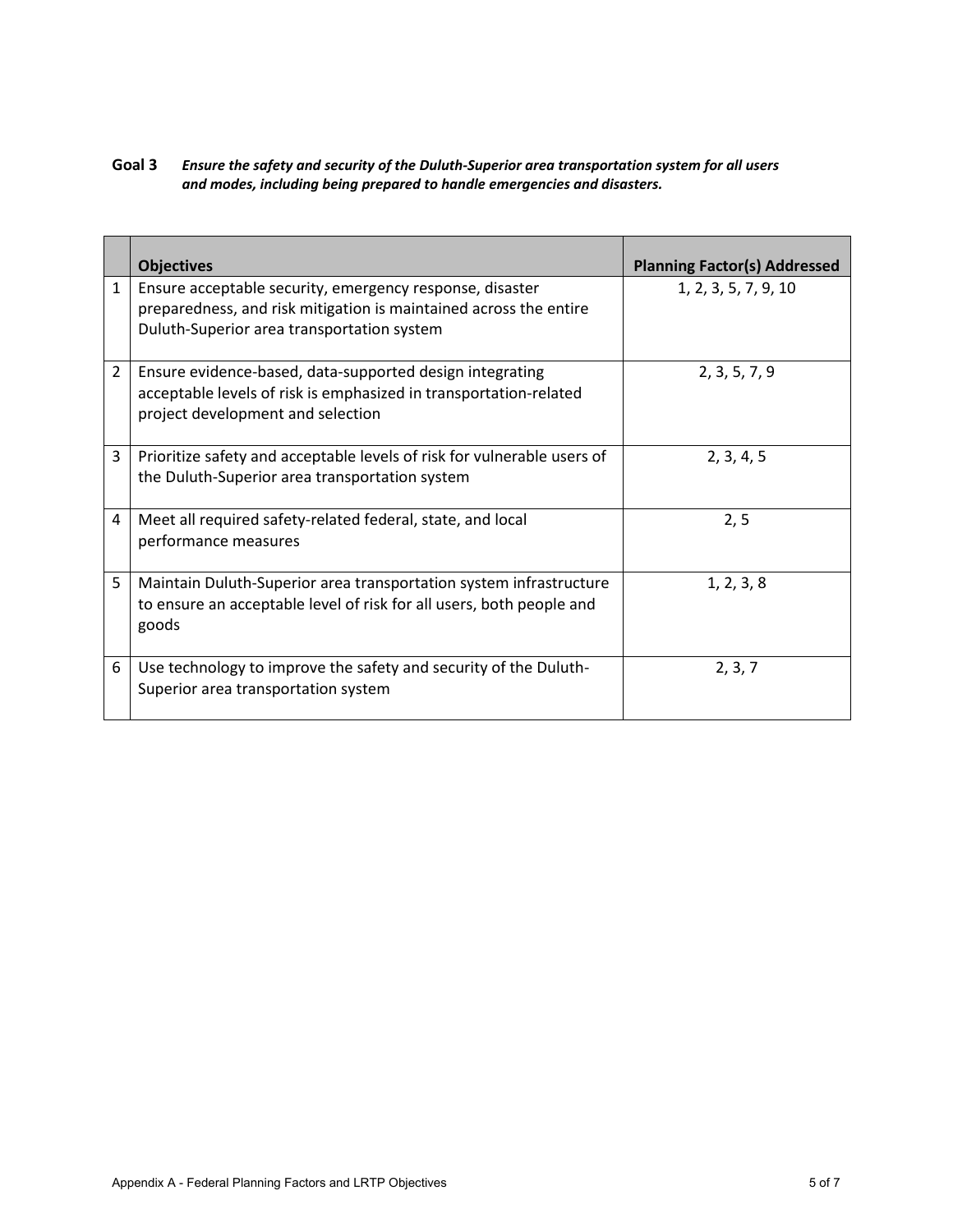**Goal 3** *Ensure the safety and security of the Duluth-Superior area transportation system for all users and modes, including being prepared to handle emergencies and disasters.* 

|                | <b>Objectives</b>                                                                                                                                                           | <b>Planning Factor(s) Addressed</b> |
|----------------|-----------------------------------------------------------------------------------------------------------------------------------------------------------------------------|-------------------------------------|
| $\mathbf{1}$   | Ensure acceptable security, emergency response, disaster<br>preparedness, and risk mitigation is maintained across the entire<br>Duluth-Superior area transportation system | 1, 2, 3, 5, 7, 9, 10                |
| $\overline{2}$ | Ensure evidence-based, data-supported design integrating<br>acceptable levels of risk is emphasized in transportation-related<br>project development and selection          | 2, 3, 5, 7, 9                       |
| 3              | Prioritize safety and acceptable levels of risk for vulnerable users of<br>the Duluth-Superior area transportation system                                                   | 2, 3, 4, 5                          |
| 4              | Meet all required safety-related federal, state, and local<br>performance measures                                                                                          | 2, 5                                |
| 5              | Maintain Duluth-Superior area transportation system infrastructure<br>to ensure an acceptable level of risk for all users, both people and<br>goods                         | 1, 2, 3, 8                          |
| 6              | Use technology to improve the safety and security of the Duluth-<br>Superior area transportation system                                                                     | 2, 3, 7                             |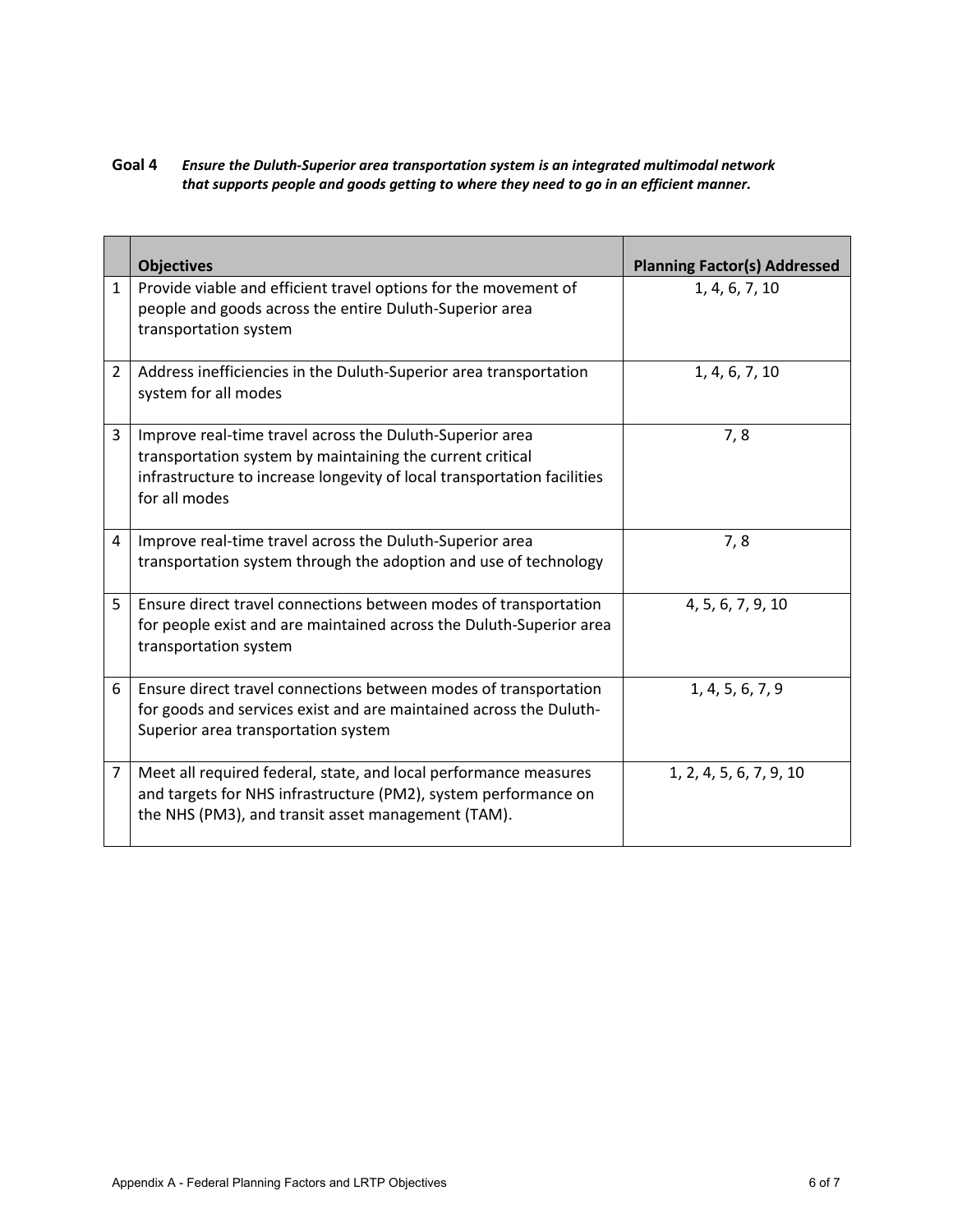### **Goal 4** *Ensure the Duluth-Superior area transportation system is an integrated multimodal network that supports people and goods getting to where they need to go in an efficient manner.*

|                | <b>Objectives</b>                                                                                                                                                                                                 | <b>Planning Factor(s) Addressed</b> |
|----------------|-------------------------------------------------------------------------------------------------------------------------------------------------------------------------------------------------------------------|-------------------------------------|
| $\mathbf{1}$   | Provide viable and efficient travel options for the movement of<br>people and goods across the entire Duluth-Superior area<br>transportation system                                                               | 1, 4, 6, 7, 10                      |
| $\overline{2}$ | Address inefficiencies in the Duluth-Superior area transportation<br>system for all modes                                                                                                                         | 1, 4, 6, 7, 10                      |
| 3              | Improve real-time travel across the Duluth-Superior area<br>transportation system by maintaining the current critical<br>infrastructure to increase longevity of local transportation facilities<br>for all modes | 7,8                                 |
| 4              | Improve real-time travel across the Duluth-Superior area<br>transportation system through the adoption and use of technology                                                                                      | 7,8                                 |
| 5              | Ensure direct travel connections between modes of transportation<br>for people exist and are maintained across the Duluth-Superior area<br>transportation system                                                  | 4, 5, 6, 7, 9, 10                   |
| 6              | Ensure direct travel connections between modes of transportation<br>for goods and services exist and are maintained across the Duluth-<br>Superior area transportation system                                     | 1, 4, 5, 6, 7, 9                    |
| 7              | Meet all required federal, state, and local performance measures<br>and targets for NHS infrastructure (PM2), system performance on<br>the NHS (PM3), and transit asset management (TAM).                         | 1, 2, 4, 5, 6, 7, 9, 10             |